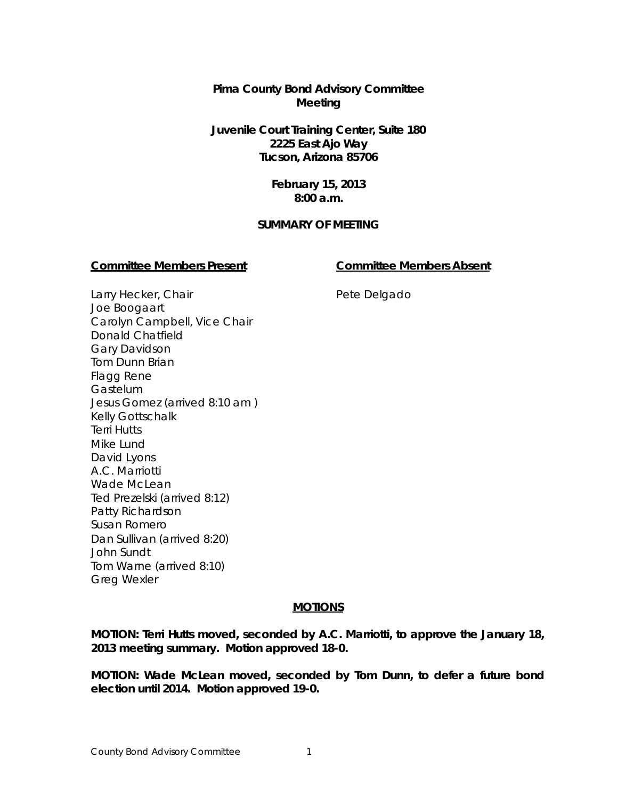**Pima County Bond Advisory Committee Meeting**

**Juvenile Court Training Center, Suite 180 2225 East Ajo Way Tucson, Arizona 85706**

> **February 15, 2013 8:00 a.m.**

#### **SUMMARY OF MEETING**

#### **Committee Members Present Committee Members Absent**

Larry Hecker, Chair Joe Boogaart Carolyn Campbell, Vice Chair Donald Chatfield Gary Davidson Tom Dunn Brian Flagg Rene **Gastelum** Jesus Gomez (arrived 8:10 am ) Kelly Gottschalk Terri Hutts Mike Lund David Lyons A.C. Marriotti Wade McLean Ted Prezelski (arrived 8:12) Patty Richardson Susan Romero Dan Sullivan (arrived 8:20) John Sundt Tom Warne (arrived 8:10) Greg Wexler

# Pete Delgado

# **MOTIONS**

**MOTION: Terri Hutts moved, seconded by A.C. Marriotti, to approve the January 18, 2013 meeting summary. Motion approved 18-0.**

**MOTION: Wade McLean moved, seconded by Tom Dunn, to defer a future bond election until 2014. Motion approved 19-0.**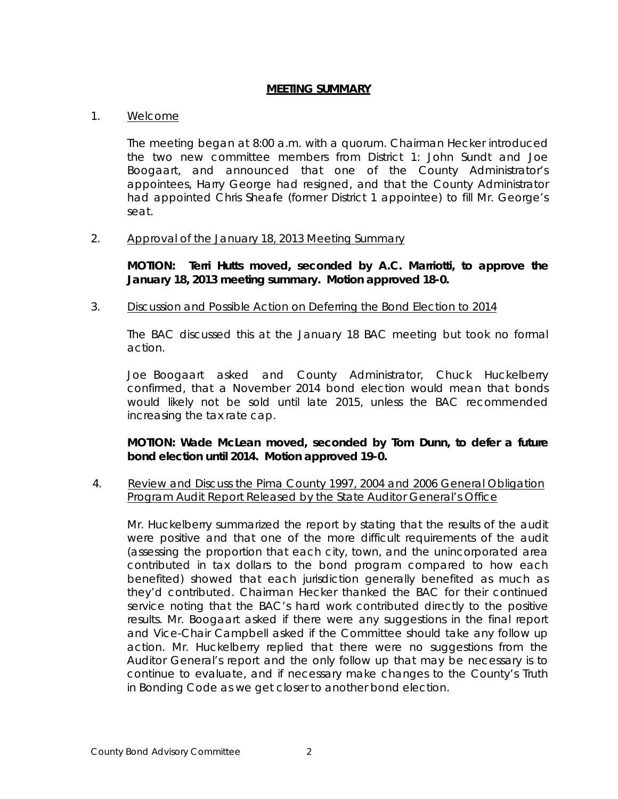#### **MEETING SUMMARY**

# 1. Welcome

The meeting began at 8:00 a.m. with a quorum. Chairman Hecker introduced the two new committee members from District 1: John Sundt and Joe Boogaart, and announced that one of the County Administrator's appointees, Harry George had resigned, and that the County Administrator had appointed Chris Sheafe (former District 1 appointee) to fill Mr. George's seat.

#### 2. Approval of the January 18, 2013 Meeting Summary

**MOTION: Terri Hutts moved, seconded by A.C. Marriotti, to approve the January 18, 2013 meeting summary. Motion approved 18-0.**

# 3. Discussion and Possible Action on Deferring the Bond Election to 2014

The BAC discussed this at the January 18 BAC meeting but took no formal action.

Joe Boogaart asked and County Administrator, Chuck Huckelberry confirmed, that a November 2014 bond election would mean that bonds would likely not be sold until late 2015, unless the BAC recommended increasing the tax rate cap.

# **MOTION: Wade McLean moved, seconded by Tom Dunn, to defer a future bond election until 2014. Motion approved 19-0.**

# 4. Review and Discuss the Pima County 1997, 2004 and 2006 General Obligation Program Audit Report Released by the State Auditor General's Office

Mr. Huckelberry summarized the report by stating that the results of the audit were positive and that one of the more difficult requirements of the audit (assessing the proportion that each city, town, and the unincorporated area contributed in tax dollars to the bond program compared to how each benefited) showed that each jurisdiction generally benefited as much as they'd contributed. Chairman Hecker thanked the BAC for their continued service noting that the BAC's hard work contributed directly to the positive results. Mr. Boogaart asked if there were any suggestions in the final report and Vice-Chair Campbell asked if the Committee should take any follow up action. Mr. Huckelberry replied that there were no suggestions from the Auditor General's report and the only follow up that may be necessary is to continue to evaluate, and if necessary make changes to the County's Truth in Bonding Code as we get closer to another bond election.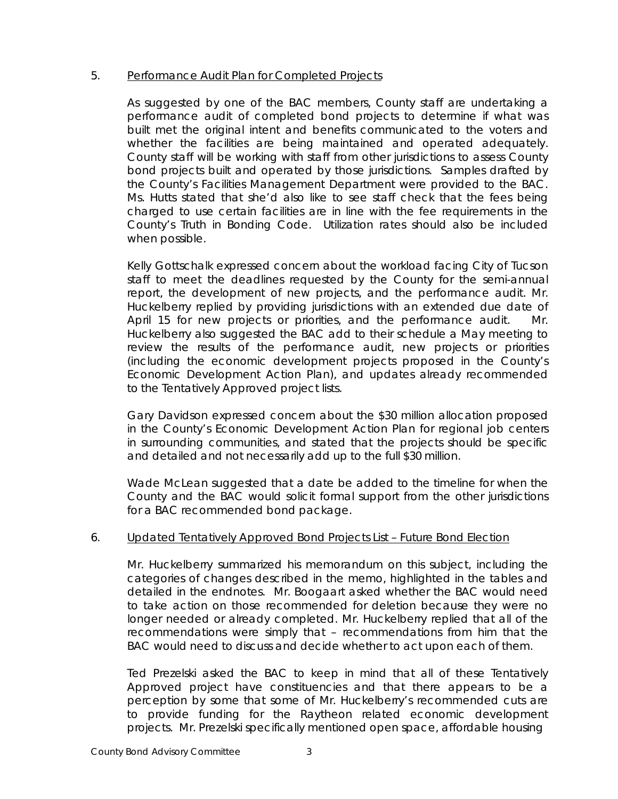#### 5. Performance Audit Plan for Completed Projects

As suggested by one of the BAC members, County staff are undertaking a performance audit of completed bond projects to determine if what was built met the original intent and benefits communicated to the voters and whether the facilities are being maintained and operated adequately. County staff will be working with staff from other jurisdictions to assess County bond projects built and operated by those jurisdictions. Samples drafted by the County's Facilities Management Department were provided to the BAC. Ms. Hutts stated that she'd also like to see staff check that the fees being charged to use certain facilities are in line with the fee requirements in the County's Truth in Bonding Code. Utilization rates should also be included when possible.

Kelly Gottschalk expressed concern about the workload facing City of Tucson staff to meet the deadlines requested by the County for the semi-annual report, the development of new projects, and the performance audit. Mr. Huckelberry replied by providing jurisdictions with an extended due date of April 15 for new projects or priorities, and the performance audit. Mr. Huckelberry also suggested the BAC add to their schedule a May meeting to review the results of the performance audit, new projects or priorities (including the economic development projects proposed in the County's Economic Development Action Plan), and updates already recommended to the Tentatively Approved project lists.

Gary Davidson expressed concern about the \$30 million allocation proposed in the County's Economic Development Action Plan for regional job centers in surrounding communities, and stated that the projects should be specific and detailed and not necessarily add up to the full \$30 million.

Wade McLean suggested that a date be added to the timeline for when the County and the BAC would solicit formal support from the other jurisdictions for a BAC recommended bond package.

# 6. Updated Tentatively Approved Bond Projects List – Future Bond Election

Mr. Huckelberry summarized his memorandum on this subject, including the categories of changes described in the memo, highlighted in the tables and detailed in the endnotes. Mr. Boogaart asked whether the BAC would need to take action on those recommended for deletion because they were no longer needed or already completed. Mr. Huckelberry replied that all of the recommendations were simply that – recommendations from him that the BAC would need to discuss and decide whether to act upon each of them.

Ted Prezelski asked the BAC to keep in mind that all of these Tentatively Approved project have constituencies and that there appears to be a perception by some that some of Mr. Huckelberry's recommended cuts are to provide funding for the Raytheon related economic development projects. Mr. Prezelski specifically mentioned open space, affordable housing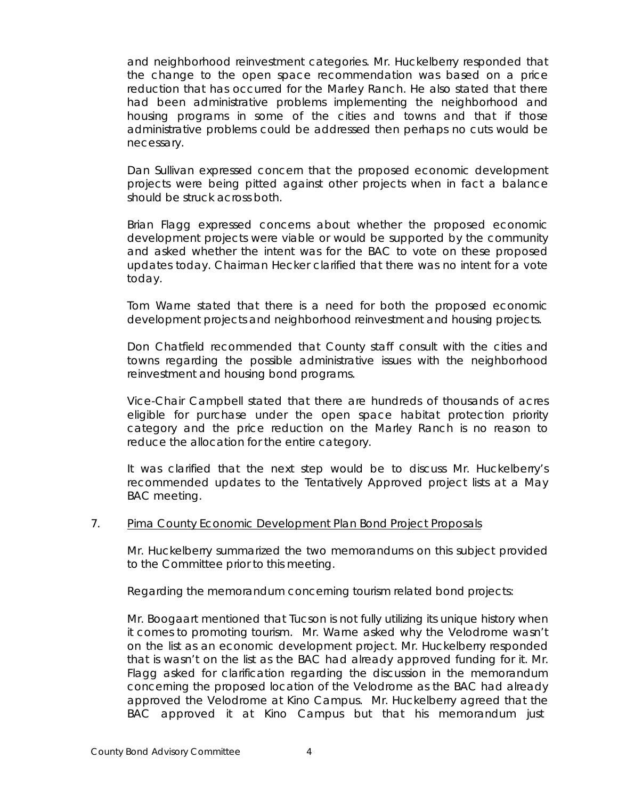and neighborhood reinvestment categories. Mr. Huckelberry responded that the change to the open space recommendation was based on a price reduction that has occurred for the Marley Ranch. He also stated that there had been administrative problems implementing the neighborhood and housing programs in some of the cities and towns and that if those administrative problems could be addressed then perhaps no cuts would be necessary.

Dan Sullivan expressed concern that the proposed economic development projects were being pitted against other projects when in fact a balance should be struck across both.

Brian Flagg expressed concerns about whether the proposed economic development projects were viable or would be supported by the community and asked whether the intent was for the BAC to vote on these proposed updates today. Chairman Hecker clarified that there was no intent for a vote today.

Tom Warne stated that there is a need for both the proposed economic development projects and neighborhood reinvestment and housing projects.

Don Chatfield recommended that County staff consult with the cities and towns regarding the possible administrative issues with the neighborhood reinvestment and housing bond programs.

Vice-Chair Campbell stated that there are hundreds of thousands of acres eligible for purchase under the open space habitat protection priority category and the price reduction on the Marley Ranch is no reason to reduce the allocation for the entire category.

It was clarified that the next step would be to discuss Mr. Huckelberry's recommended updates to the Tentatively Approved project lists at a May BAC meeting.

#### 7. Pima County Economic Development Plan Bond Project Proposals

Mr. Huckelberry summarized the two memorandums on this subject provided to the Committee prior to this meeting.

Regarding the memorandum concerning tourism related bond projects:

Mr. Boogaart mentioned that Tucson is not fully utilizing its unique history when it comes to promoting tourism. Mr. Warne asked why the Velodrome wasn't on the list as an economic development project. Mr. Huckelberry responded that is wasn't on the list as the BAC had already approved funding for it. Mr. Flagg asked for clarification regarding the discussion in the memorandum concerning the proposed location of the Velodrome as the BAC had already approved the Velodrome at Kino Campus. Mr. Huckelberry agreed that the BAC approved it at Kino Campus but that his memorandum just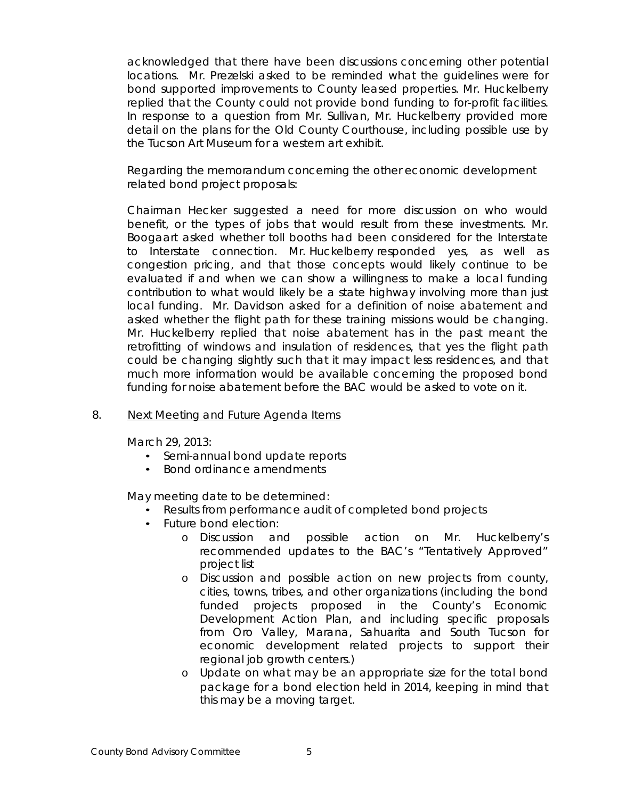acknowledged that there have been discussions concerning other potential locations. Mr. Prezelski asked to be reminded what the guidelines were for bond supported improvements to County leased properties. Mr. Huckelberry replied that the County could not provide bond funding to for-profit facilities. In response to a question from Mr. Sullivan, Mr. Huckelberry provided more detail on the plans for the Old County Courthouse, including possible use by the Tucson Art Museum for a western art exhibit.

Regarding the memorandum concerning the other economic development related bond project proposals:

Chairman Hecker suggested a need for more discussion on who would benefit, or the types of jobs that would result from these investments. Mr. Boogaart asked whether toll booths had been considered for the Interstate to Interstate connection. Mr. Huckelberry responded yes, as well as congestion pricing, and that those concepts would likely continue to be evaluated if and when we can show a willingness to make a local funding contribution to what would likely be a state highway involving more than just local funding. Mr. Davidson asked for a definition of noise abatement and asked whether the flight path for these training missions would be changing. Mr. Huckelberry replied that noise abatement has in the past meant the retrofitting of windows and insulation of residences, that yes the flight path could be changing slightly such that it may impact less residences, and that much more information would be available concerning the proposed bond funding for noise abatement before the BAC would be asked to vote on it.

#### 8. Next Meeting and Future Agenda Items

March 29, 2013:

- Semi-annual bond update reports
- Bond ordinance amendments

May meeting date to be determined:

- Results from performance audit of completed bond projects
- Future bond election:
	- o Discussion and possible action on Mr. Huckelberry's recommended updates to the BAC's "Tentatively Approved" project list
	- o Discussion and possible action on new projects from county, cities, towns, tribes, and other organizations (including the bond funded projects proposed in the County's Economic Development Action Plan, and including specific proposals from Oro Valley, Marana, Sahuarita and South Tucson for economic development related projects to support their regional job growth centers.)
	- o Update on what may be an appropriate size for the total bond package for a bond election held in 2014, keeping in mind that this may be a moving target.